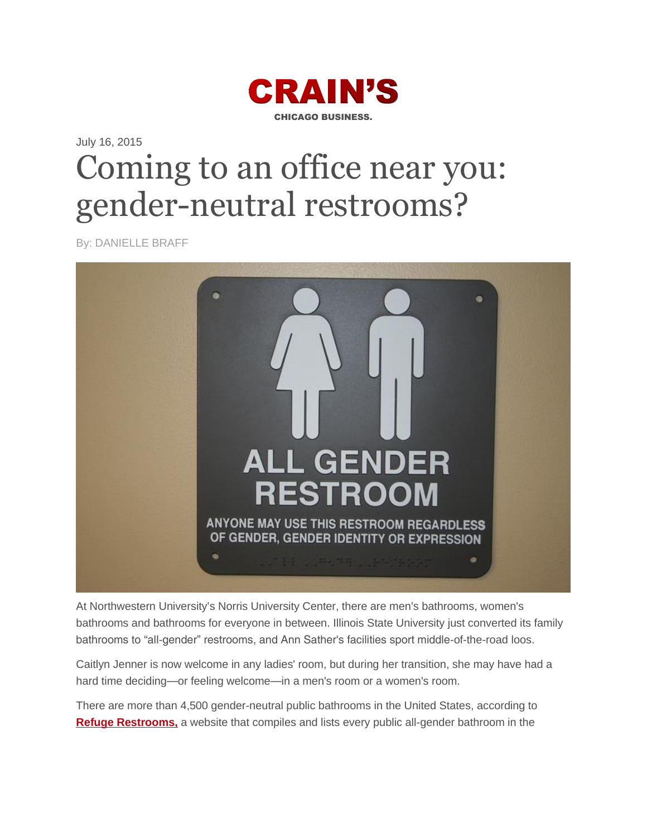

## July 16, 2015 Coming to an office near you: gender-neutral restrooms?

By: DANIELLE BRAFF



At Northwestern University's Norris University Center, there are men's bathrooms, women's bathrooms and bathrooms for everyone in between. Illinois State University just converted its family bathrooms to "all-gender" restrooms, and Ann Sather's facilities sport middle-of-the-road loos.

Caitlyn Jenner is now welcome in any ladies' room, but during her transition, she may have had a hard time deciding—or feeling welcome—in a men's room or a women's room.

There are more than 4,500 gender-neutral public bathrooms in the United States, according to **[Refuge Restrooms,](http://www.refugerestrooms.org/)** a website that compiles and lists every public all-gender bathroom in the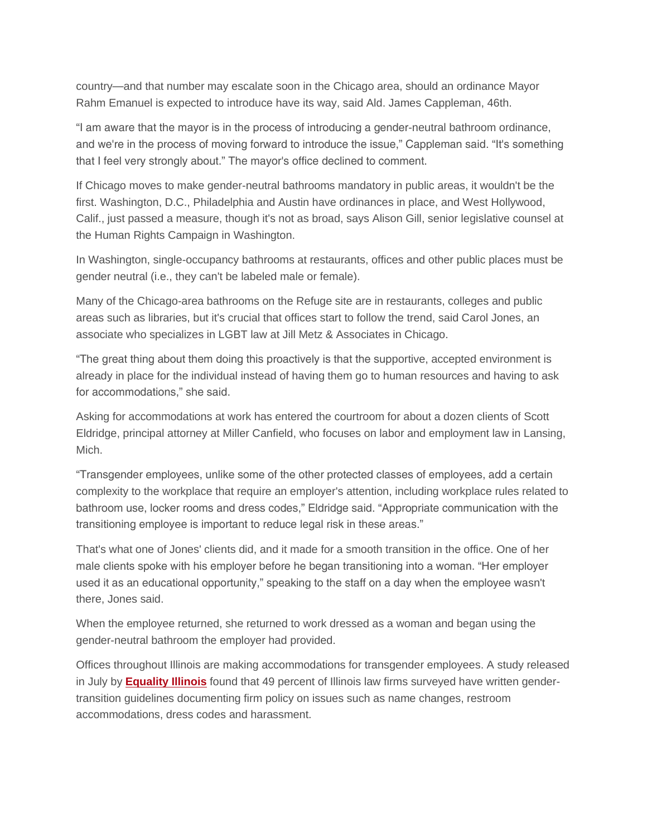country—and that number may escalate soon in the Chicago area, should an ordinance Mayor Rahm Emanuel is expected to introduce have its way, said Ald. James Cappleman, 46th.

"I am aware that the mayor is in the process of introducing a gender-neutral bathroom ordinance, and we're in the process of moving forward to introduce the issue," Cappleman said. "It's something that I feel very strongly about." The mayor's office declined to comment.

If Chicago moves to make gender-neutral bathrooms mandatory in public areas, it wouldn't be the first. Washington, D.C., Philadelphia and Austin have ordinances in place, and West Hollywood, Calif., just passed a measure, though it's not as broad, says Alison Gill, senior legislative counsel at the Human Rights Campaign in Washington.

In Washington, single-occupancy bathrooms at restaurants, offices and other public places must be gender neutral (i.e., they can't be labeled male or female).

Many of the Chicago-area bathrooms on the Refuge site are in restaurants, colleges and public areas such as libraries, but it's crucial that offices start to follow the trend, said Carol Jones, an associate who specializes in LGBT law at Jill Metz & Associates in Chicago.

"The great thing about them doing this proactively is that the supportive, accepted environment is already in place for the individual instead of having them go to human resources and having to ask for accommodations," she said.

Asking for accommodations at work has entered the courtroom for about a dozen clients of Scott Eldridge, principal attorney at Miller Canfield, who focuses on labor and employment law in Lansing, Mich.

"Transgender employees, unlike some of the other protected classes of employees, add a certain complexity to the workplace that require an employer's attention, including workplace rules related to bathroom use, locker rooms and dress codes," Eldridge said. "Appropriate communication with the transitioning employee is important to reduce legal risk in these areas."

That's what one of Jones' clients did, and it made for a smooth transition in the office. One of her male clients spoke with his employer before he began transitioning into a woman. "Her employer used it as an educational opportunity," speaking to the staff on a day when the employee wasn't there, Jones said.

When the employee returned, she returned to work dressed as a woman and began using the gender-neutral bathroom the employer had provided.

Offices throughout Illinois are making accommodations for transgender employees. A study released in July by **[Equality Illinois](http://www.equalityillinois.us/)** found that 49 percent of Illinois law firms surveyed have written gendertransition guidelines documenting firm policy on issues such as name changes, restroom accommodations, dress codes and harassment.